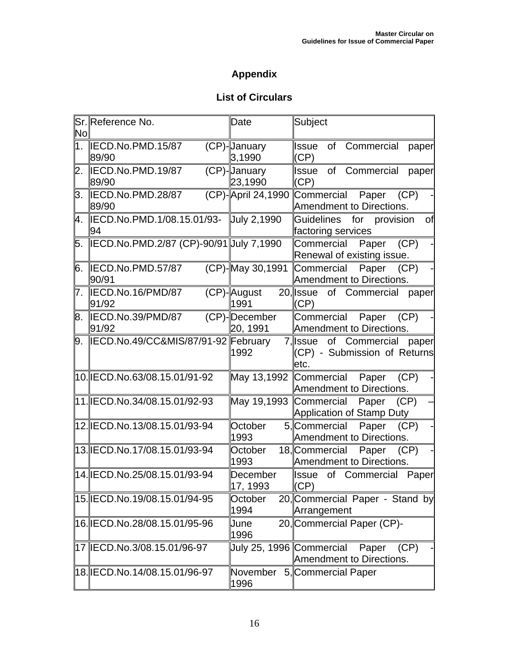## **Appendix**

## **List of Circulars**

| No             | Sr. Reference No.                                 | Date                      | Subject                                                                   |
|----------------|---------------------------------------------------|---------------------------|---------------------------------------------------------------------------|
| 1 <sub>1</sub> | IECD.No.PMD.15/87<br>89/90                        | (CP)-January<br> 3,1990   | of<br>Commercial<br>Issue<br>paper<br>(CP)                                |
| 2.             | IECD.No.PMD.19/87<br>89/90                        | (CP)-January<br>23,1990   | of Commercial<br>Issue<br>paper<br>(CP)                                   |
| 3.             | IECD.No.PMD.28/87<br>89/90                        | (CP)-April 24,1990        | Commercial Paper<br>(CP)<br><b>Amendment to Directions.</b>               |
|                | 4.  IECD.No.PMD.1/08.15.01/93-  July 2,1990<br>94 |                           | Guidelines for provision<br>of<br>factoring services                      |
|                | 5. IECD.No.PMD.2/87 (CP)-90/91 Uuly 7,1990        |                           | Commercial<br>(CP)<br>Paper<br>Renewal of existing issue.                 |
| 6.             | IECD.No.PMD.57/87<br>90/91                        | (CP)-May 30,1991          | Commercial<br>Paper<br>(CP)<br>Amendment to Directions.                   |
| 7.             | IECD.No.16/PMD/87<br>91/92                        | (CP)-August<br>1991       | $20$ , Issue<br>of Commercial<br>paper<br>(CP)                            |
| 8.             | IECD.No.39/PMD/87<br>91/92                        | (CP)-December<br>20, 1991 | Commercial Paper<br>(CP)<br>Amendment to Directions.                      |
| 9.             | IECD.No.49/CC&MIS/87/91-92 February               | 1992                      | 7,∥ssue<br>of Commercial<br>paper<br>(CP) - Submission of Returns<br>etc. |
|                | 10. IECD. No. 63/08. 15.01/91-92                  | May 13,1992 Commercial    | (CP)<br>Paper<br>Amendment to Directions.                                 |
|                | 11.IECD.No.34/08.15.01/92-93                      | May 19,1993 Commercial    | Paper<br>(CP)<br>Application of Stamp Duty                                |
|                | 12. IECD. No. 13/08. 15.01/93-94                  | October<br>1993           | 5, Commercial<br>Paper<br>(CP)<br>Amendment to Directions.                |
|                | 13. IECD. No. 17/08. 15.01/93-94                  | October<br>1993           | 18, Commercial<br>Paper<br>(CP)<br>Amendment to Directions.               |
|                | 14. IECD. No. 25/08. 15.01/93-94                  | December<br>∥17, 1993     | of<br><b>Issue</b><br>Commercial<br>Paper<br>(CP)                         |
|                | 15. IECD. No. 19/08. 15.01/94-95                  | October<br>1994           | 20, Commercial Paper - Stand by<br>Arrangement                            |
|                | 16. IECD. No. 28/08. 15.01/95-96                  | June<br>1996              | 20, Commercial Paper (CP)-                                                |
|                | 17   ECD. No. 3/08. 15.01/96-97                   | July 25, 1996 Commercial  | (CP)<br>Paper<br>Amendment to Directions.                                 |
|                | 18. IECD. No. 14/08. 15.01/96-97                  | November<br>1996          | 5, Commercial Paper                                                       |